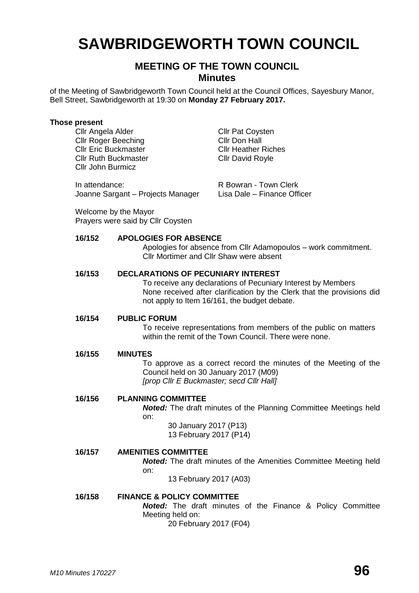# **SAWBRIDGEWORTH TOWN COUNCIL**

# **MEETING OF THE TOWN COUNCIL Minutes**

of the Meeting of Sawbridgeworth Town Council held at the Council Offices, Sayesbury Manor, Bell Street, Sawbridgeworth at 19:30 on **Monday 27 February 2017.**

#### **Those present**

Cllr Angela Alder Cllr Pat Coysten Cllr Roger Beeching Cllr Don Hall Cllr Eric Buckmaster Cllr Heather Riches Cllr Ruth Buckmaster Cllr David Royle Cllr John Burmicz

In attendance: The R Bowran - Town Clerk Joanne Sargant – Projects Manager Lisa Dale – Finance Officer

Welcome by the Mayor Prayers were said by Cllr Coysten

## **16/152 APOLOGIES FOR ABSENCE**

Apologies for absence from Cllr Adamopoulos – work commitment. Cllr Mortimer and Cllr Shaw were absent

# **16/153 DECLARATIONS OF PECUNIARY INTEREST**

To receive any declarations of Pecuniary Interest by Members None received after clarification by the Clerk that the provisions did not apply to Item 16/161, the budget debate.

## **16/154 PUBLIC FORUM**

To receive representations from members of the public on matters within the remit of the Town Council. There were none.

#### **16/155 MINUTES**

To approve as a correct record the minutes of the Meeting of the Council held on 30 January 2017 (M09) *[prop Cllr E Buckmaster; secd Cllr Hall]*

## **16/156 PLANNING COMMITTEE**

*Noted:* The draft minutes of the Planning Committee Meetings held on:

> 30 January 2017 (P13) 13 February 2017 (P14)

# **16/157 AMENITIES COMMITTEE**

*Noted:* The draft minutes of the Amenities Committee Meeting held on:

13 February 2017 (A03)

# **16/158 FINANCE & POLICY COMMITTEE**

*Noted:* The draft minutes of the Finance & Policy Committee Meeting held on:

20 February 2017 (F04)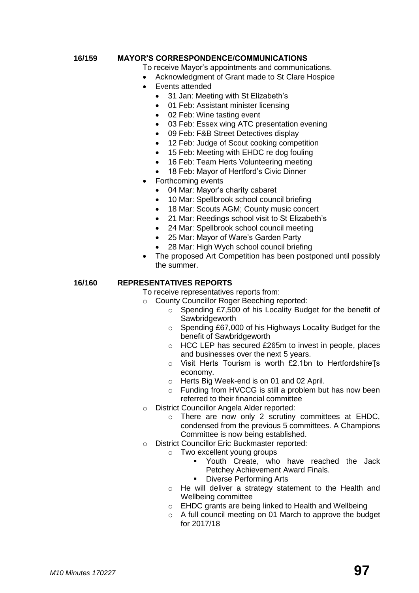# **16/159 MAYOR'S CORRESPONDENCE/COMMUNICATIONS**

To receive Mayor's appointments and communications.

- Acknowledgment of Grant made to St Clare Hospice
- Events attended
	- 31 Jan: Meeting with St Elizabeth's
	- 01 Feb: Assistant minister licensing
	- 02 Feb: Wine tasting event
	- 03 Feb: Essex wing ATC presentation evening
	- 09 Feb: F&B Street Detectives display
	- 12 Feb: Judge of Scout cooking competition
	- 15 Feb: Meeting with EHDC re dog fouling
	- 16 Feb: Team Herts Volunteering meeting
	- 18 Feb: Mayor of Hertford's Civic Dinner
- Forthcoming events
	- 04 Mar: Mayor's charity cabaret
	- 10 Mar: Spellbrook school council briefing
	- 18 Mar: Scouts AGM; County music concert
	- 21 Mar: Reedings school visit to St Elizabeth's
	- 24 Mar: Spellbrook school council meeting
	- 25 Mar: Mayor of Ware's Garden Party
	- 28 Mar: High Wych school council briefing
- The proposed Art Competition has been postponed until possibly the summer.

# **16/160 REPRESENTATIVES REPORTS**

To receive representatives reports from:

- o County Councillor Roger Beeching reported:
	- o Spending £7,500 of his Locality Budget for the benefit of **Sawbridgeworth**
	- o Spending £67,000 of his Highways Locality Budget for the benefit of Sawbridgeworth
	- o HCC LEP has secured £265m to invest in people, places and businesses over the next 5 years.
	- o Visit Herts Tourism is worth £2.1bn to Hertfordshire'[s economy.
	- o Herts Big Week-end is on 01 and 02 April.
	- o Funding from HVCCG is still a problem but has now been referred to their financial committee
- o District Councillor Angela Alder reported:
	- o There are now only 2 scrutiny committees at EHDC, condensed from the previous 5 committees. A Champions Committee is now being established.
- o District Councillor Eric Buckmaster reported:
	- o Two excellent young groups
		- Youth Create, who have reached the Jack Petchey Achievement Award Finals.
		- Diverse Performing Arts
		- o He will deliver a strategy statement to the Health and Wellbeing committee
		- o EHDC grants are being linked to Health and Wellbeing
		- o A full council meeting on 01 March to approve the budget for 2017/18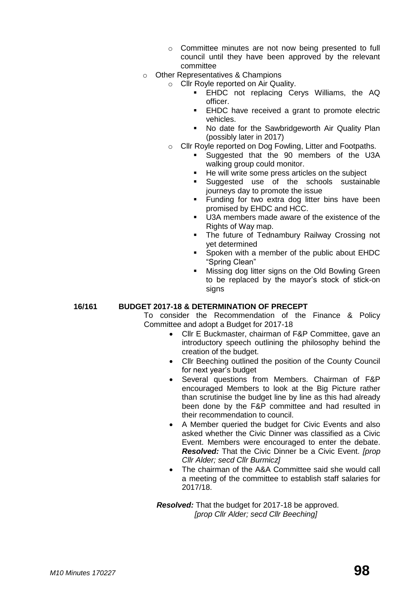- o Committee minutes are not now being presented to full council until they have been approved by the relevant committee
- o Other Representatives & Champions
	- o Cllr Royle reported on Air Quality.
		- **EHDC** not replacing Cerys Williams, the AQ officer.
		- **EHDC** have received a grant to promote electric vehicles.
		- No date for the Sawbridgeworth Air Quality Plan (possibly later in 2017)
	- o Cllr Royle reported on Dog Fowling, Litter and Footpaths.
		- Suggested that the 90 members of the U3A walking group could monitor.
		- He will write some press articles on the subject<br>■ Suggested use of the schools sustaina
		- Suggested use of the schools sustainable journeys day to promote the issue
		- **Funding for two extra dog litter bins have been** promised by EHDC and HCC.
		- U3A members made aware of the existence of the Rights of Way map.
		- The future of Tednambury Railway Crossing not yet determined
		- **Spoken with a member of the public about EHDC** "Spring Clean"
		- Missing dog litter signs on the Old Bowling Green to be replaced by the mayor's stock of stick-on signs

# **16/161 BUDGET 2017-18 & DETERMINATION OF PRECEPT**

To consider the Recommendation of the Finance & Policy Committee and adopt a Budget for 2017-18

- Cllr E Buckmaster, chairman of F&P Committee, gave an introductory speech outlining the philosophy behind the creation of the budget.
- Cllr Beeching outlined the position of the County Council for next year's budget
- Several questions from Members. Chairman of F&P encouraged Members to look at the Big Picture rather than scrutinise the budget line by line as this had already been done by the F&P committee and had resulted in their recommendation to council.
- A Member queried the budget for Civic Events and also asked whether the Civic Dinner was classified as a Civic Event. Members were encouraged to enter the debate. *Resolved:* That the Civic Dinner be a Civic Event. *[prop Cllr Alder; secd Cllr Burmicz]*
- The chairman of the A&A Committee said she would call a meeting of the committee to establish staff salaries for 2017/18.

*Resolved:* That the budget for 2017-18 be approved. *[prop Cllr Alder; secd Cllr Beeching]*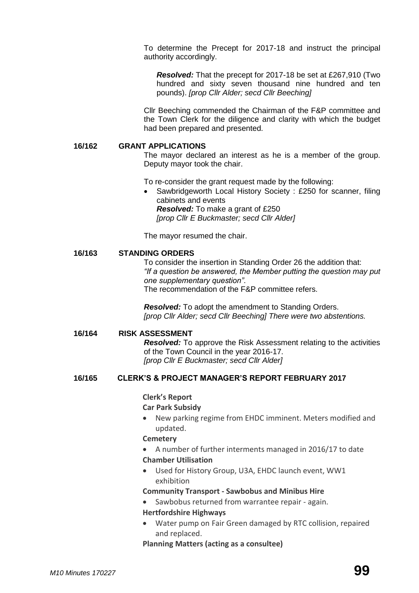To determine the Precept for 2017-18 and instruct the principal authority accordingly.

*Resolved:* That the precept for 2017-18 be set at £267,910 (Two hundred and sixty seven thousand nine hundred and ten pounds). *[prop Cllr Alder; secd Cllr Beeching]*

Cllr Beeching commended the Chairman of the F&P committee and the Town Clerk for the diligence and clarity with which the budget had been prepared and presented.

#### **16/162 GRANT APPLICATIONS**

The mayor declared an interest as he is a member of the group. Deputy mayor took the chair.

To re-consider the grant request made by the following:

 Sawbridgeworth Local History Society : £250 for scanner, filing cabinets and events *Resolved:* To make a grant of £250 *[prop Cllr E Buckmaster; secd Cllr Alder]*

The mayor resumed the chair.

#### **16/163 STANDING ORDERS**

To consider the insertion in Standing Order 26 the addition that: *"If a question be answered, the Member putting the question may put one supplementary question"*. The recommendation of the F&P committee refers.

*Resolved:* To adopt the amendment to Standing Orders. *[prop Cllr Alder; secd Cllr Beeching] There were two abstentions.*

#### **16/164 RISK ASSESSMENT**

*Resolved:* To approve the Risk Assessment relating to the activities of the Town Council in the year 2016-17. *[prop Cllr E Buckmaster; secd Cllr Alder]*

#### **16/165 CLERK'S & PROJECT MANAGER'S REPORT FEBRUARY 2017**

## **Clerk's Report**

#### **Car Park Subsidy**

 New parking regime from EHDC imminent. Meters modified and updated.

#### **[Cemetery](http://www.sawbridgeworth-tc.gov.uk/town-information/town-council-services/cemetery)**

- A number of further interments managed in 2016/17 to date **Chamber Utilisation**
- Used for History Group, U3A, EHDC launch event, WW1 exhibition

## **Community Transport - [Sawbobus](http://www.sawbridgeworth-tc.gov.uk/town-information/town-council-services/sawbobus) an[d Minibus Hire](http://www.sawbridgeworth-tc.gov.uk/town-information/town-council-services/minibus-hire)**

- Sawbobus returned from warrantee repair again. **Hertfordshire Highways**
- Water pump on Fair Green damaged by RTC collision, repaired and replaced.

#### **Planning [Matters \(acting as a consultee\)](http://www.sawbridgeworth-tc.gov.uk/town-council/planning)**